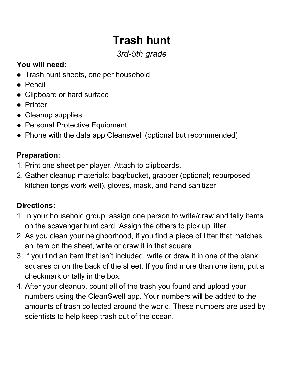# **Trash hunt**

## *3rd-5th grade*

### **You will need:**

- Trash hunt sheets, one per household
- Pencil
- Clipboard or hard surface
- Printer
- Cleanup supplies
- Personal Protective Equipment
- Phone with the data app Cleanswell (optional but recommended)

#### **Preparation:**

- 1. Print one sheet per player. Attach to clipboards.
- 2. Gather cleanup materials: bag/bucket, grabber (optional; repurposed kitchen tongs work well), gloves, mask, and hand sanitizer

### **Directions:**

- 1. In your household group, assign one person to write/draw and tally items on the scavenger hunt card. Assign the others to pick up litter.
- 2. As you clean your neighborhood, if you find a piece of litter that matches an item on the sheet, write or draw it in that square.
- 3. If you find an item that isn't included, write or draw it in one of the blank squares or on the back of the sheet. If you find more than one item, put a checkmark or tally in the box.
- 4. After your cleanup, count all of the trash you found and upload your numbers using the CleanSwell app. Your numbers will be added to the amounts of trash collected around the world. These numbers are used by scientists to help keep trash out of the ocean.